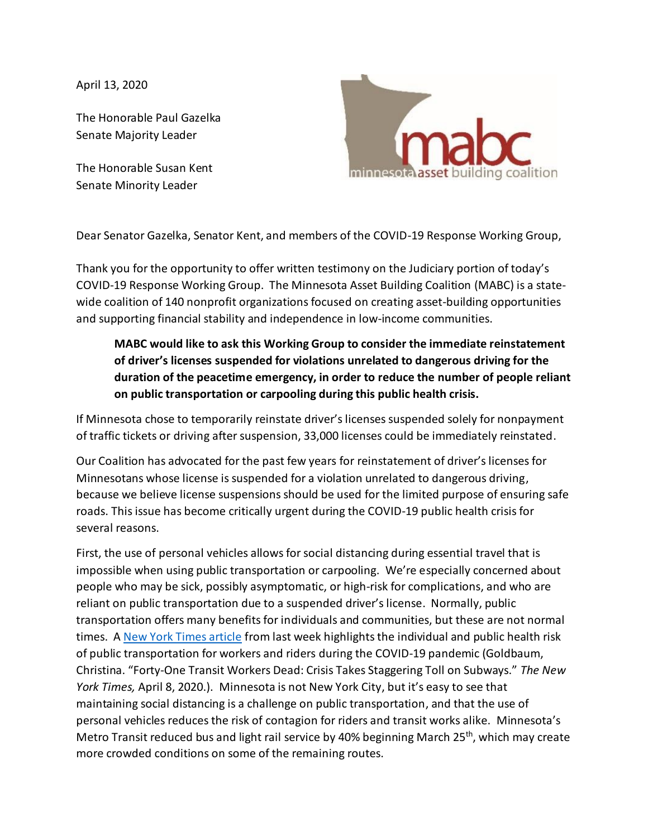April 13, 2020

The Honorable Paul Gazelka Senate Majority Leader

The Honorable Susan Kent Senate Minority Leader



Dear Senator Gazelka, Senator Kent, and members of the COVID-19 Response Working Group,

Thank you for the opportunity to offer written testimony on the Judiciary portion of today's COVID-19 Response Working Group. The Minnesota Asset Building Coalition (MABC) is a statewide coalition of 140 nonprofit organizations focused on creating asset-building opportunities and supporting financial stability and independence in low-income communities.

**MABC would like to ask this Working Group to consider the immediate reinstatement of driver's licenses suspended for violations unrelated to dangerous driving for the duration of the peacetime emergency, in order to reduce the number of people reliant on public transportation or carpooling during this public health crisis.**

If Minnesota chose to temporarily reinstate driver's licenses suspended solely for nonpayment of traffic tickets or driving after suspension, 33,000 licenses could be immediately reinstated.

Our Coalition has advocated for the past few years for reinstatement of driver's licenses for Minnesotans whose license is suspended for a violation unrelated to dangerous driving, because we believe license suspensions should be used for the limited purpose of ensuring safe roads. This issue has become critically urgent during the COVID-19 public health crisis for several reasons.

First, the use of personal vehicles allows for social distancing during essential travel that is impossible when using public transportation or carpooling. We're especially concerned about people who may be sick, possibly asymptomatic, or high-risk for complications, and who are reliant on public transportation due to a suspended driver's license. Normally, public transportation offers many benefits for individuals and communities, but these are not normal times. A [New York Times article](https://www.nytimes.com/2020/04/08/nyregion/coronavirus-nyc-mta-subway.html) from last week highlights the individual and public health risk of public transportation for workers and riders during the COVID-19 pandemic (Goldbaum, Christina. "Forty-One Transit Workers Dead: Crisis Takes Staggering Toll on Subways." *The New York Times,* April 8, 2020.). Minnesota is not New York City, but it's easy to see that maintaining social distancing is a challenge on public transportation, and that the use of personal vehicles reduces the risk of contagion for riders and transit works alike. Minnesota's Metro Transit reduced bus and light rail service by 40% beginning March 25<sup>th</sup>, which may create more crowded conditions on some of the remaining routes.